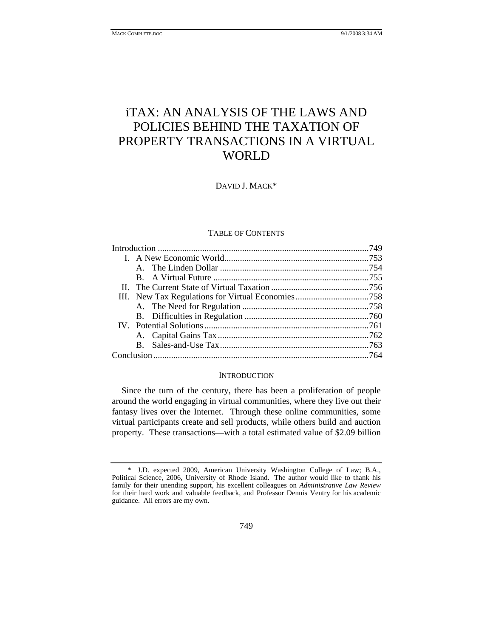# iTAX: AN ANALYSIS OF THE LAWS AND POLICIES BEHIND THE TAXATION OF PROPERTY TRANSACTIONS IN A VIRTUAL WORLD

DAVID J. MACK\*

### TABLE OF CONTENTS

#### **INTRODUCTION**

Since the turn of the century, there has been a proliferation of people around the world engaging in virtual communities, where they live out their fantasy lives over the Internet. Through these online communities, some virtual participants create and sell products, while others build and auction property. These transactions—with a total estimated value of \$2.09 billion

 <sup>\*</sup> J.D. expected 2009, American University Washington College of Law; B.A., Political Science, 2006, University of Rhode Island. The author would like to thank his family for their unending support, his excellent colleagues on *Administrative Law Review* for their hard work and valuable feedback, and Professor Dennis Ventry for his academic guidance. All errors are my own.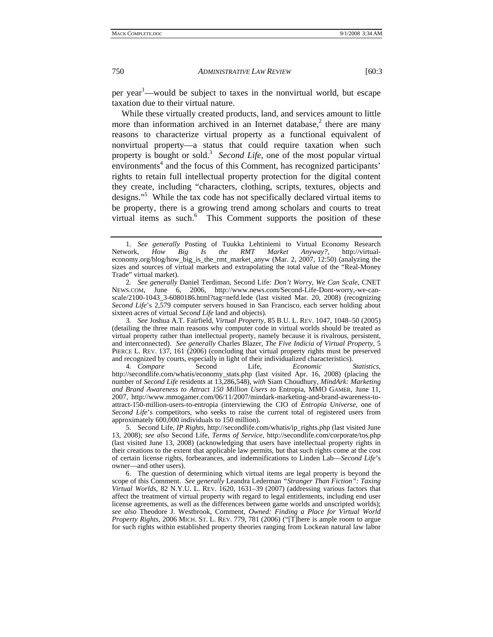per year<sup>1</sup>—would be subject to taxes in the nonvirtual world, but escape taxation due to their virtual nature.

While these virtually created products, land, and services amount to little more than information archived in an Internet database, $2$  there are many reasons to characterize virtual property as a functional equivalent of nonvirtual property—a status that could require taxation when such property is bought or sold.<sup>3</sup> Second Life, one of the most popular virtual environments<sup>4</sup> and the focus of this Comment, has recognized participants' rights to retain full intellectual property protection for the digital content they create, including "characters, clothing, scripts, textures, objects and designs."5 While the tax code has not specifically declared virtual items to be property, there is a growing trend among scholars and courts to treat virtual items as such.<sup>6</sup> This Comment supports the position of these

4*. Compare* Second Life, *Economic Statistics*, http://secondlife.com/whatis/economy\_stats.php (last visited Apr. 16, 2008) (placing the number of *Second Life* residents at 13,286,548), *with* Siam Choudhury, *MindArk: Marketing and Brand Awareness to Attract 150 Million Users to* Entropia, MMO GAMER, June 11, 2007, http://www.mmogamer.com/06/11/2007/mindark-marketing-and-brand-awareness-toattract-150-million-users-to-entropia (interviewing the CIO of *Entropia Universe*, one of *Second Life*'s competitors, who seeks to raise the current total of registered users from approximately 600,000 individuals to 150 million).

 5. Second Life, *IP Rights*, http://secondlife.com/whatis/ip\_rights.php (last visited June 13, 2008); *see also* Second Life, *Terms of Service*, http://secondlife.com/corporate/tos.php (last visited June 13, 2008) (acknowledging that users have intellectual property rights in their creations to the extent that applicable law permits, but that such rights come at the cost of certain license rights, forbearances, and indemnifications to Linden Lab—*Second Life*'s owner—and other users).

 6. The question of determining which virtual items are legal property is beyond the scope of this Comment. *See generally* Leandra Lederman *"Stranger Than Fiction": Taxing Virtual Worlds*, 82 N.Y.U. L. REV. 1620, 1631–39 (2007) (addressing various factors that affect the treatment of virtual property with regard to legal entitlements, including end user license agreements, as well as the differences between game worlds and unscripted worlds); *see also* Theodore J. Westbrook, Comment, *Owned: Finding a Place for Virtual World Property Rights*, 2006 MICH. ST. L. REV. 779, 781 (2006) ("[T]here is ample room to argue for such rights within established property theories ranging from Lockean natural law labor

<sup>1</sup>*. See generally* Posting of Tuukka Lehtiniemi to Virtual Economy Research Network, *How Big Is the RMT Market Anyway?*, http://virtualeconomy.org/blog/how\_big\_is\_the\_rmt\_market\_anyw (Mar. 2, 2007, 12:50) (analyzing the sizes and sources of virtual markets and extrapolating the total value of the "Real-Money Trade" virtual market).

<sup>2</sup>*. See generally* Daniel Terdiman, Second Life*: Don't Worry, We Can Scale*, CNET NEWS.COM, June 6, 2006, http://www.news.com/Second-Life-Dont-worry,-we-canscale/2100-1043\_3-6080186.html?tag=nefd.lede (last visited Mar. 20, 2008) (recognizing *Second Life*'s 2,579 computer servers housed in San Francisco, each server holding about sixteen acres of virtual *Second Life* land and objects).

<sup>3</sup>*. See* Joshua A.T. Fairfield, *Virtual Property*, 85 B.U. L. REV. 1047, 1048–50 (2005) (detailing the three main reasons why computer code in virtual worlds should be treated as virtual property rather than intellectual property, namely because it is rivalrous, persistent, and interconnected). *See generally* Charles Blazer, *The Five Indicia of Virtual Property*, 5 PIERCE L. REV. 137, 161 (2006) (concluding that virtual property rights must be preserved and recognized by courts, especially in light of their individualized characteristics).<br>4. Compare Second Life, Economic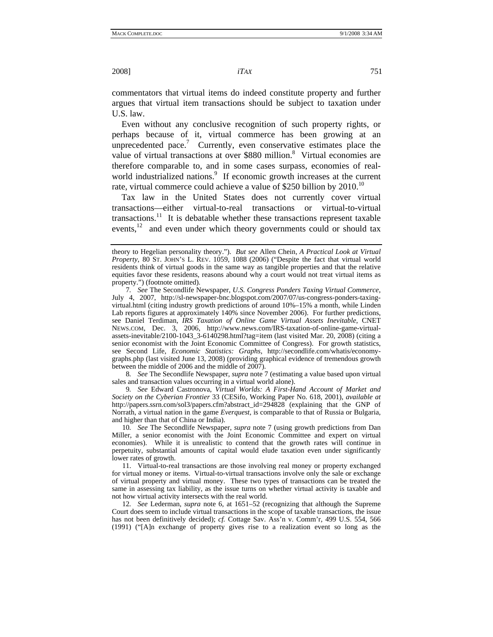commentators that virtual items do indeed constitute property and further argues that virtual item transactions should be subject to taxation under U.S. law.

Even without any conclusive recognition of such property rights, or perhaps because of it, virtual commerce has been growing at an unprecedented pace.<sup>7</sup> Currently, even conservative estimates place the value of virtual transactions at over \$880 million.<sup>8</sup> Virtual economies are therefore comparable to, and in some cases surpass, economies of realworld industrialized nations.<sup>9</sup> If economic growth increases at the current rate, virtual commerce could achieve a value of \$250 billion by 2010.<sup>10</sup>

Tax law in the United States does not currently cover virtual transactions—either virtual-to-real transactions or virtual-to-virtual transactions.<sup>11</sup> It is debatable whether these transactions represent taxable events,<sup>12</sup> and even under which theory governments could or should tax

8*. See* The Secondlife Newspaper, *supra* note 7 (estimating a value based upon virtual sales and transaction values occurring in a virtual world alone).

9*. See* Edward Castronova, *Virtual Worlds: A First-Hand Account of Market and Society on the Cyberian Frontier* 33 (CESifo, Working Paper No. 618, 2001), *available at* http://papers.ssrn.com/sol3/papers.cfm?abstract\_id=294828 (explaining that the GNP of Norrath, a virtual nation in the game *Everquest*, is comparable to that of Russia or Bulgaria, and higher than that of China or India).

10*. See* The Secondlife Newspaper, *supra* note 7 (using growth predictions from Dan Miller, a senior economist with the Joint Economic Committee and expert on virtual economies). While it is unrealistic to contend that the growth rates will continue in perpetuity, substantial amounts of capital would elude taxation even under significantly lower rates of growth.

 11. Virtual-to-real transactions are those involving real money or property exchanged for virtual money or items. Virtual-to-virtual transactions involve only the sale or exchange of virtual property and virtual money. These two types of transactions can be treated the same in assessing tax liability, as the issue turns on whether virtual activity is taxable and not how virtual activity intersects with the real world.

12*. See* Lederman, *supra* note 6, at 1651–52 (recognizing that although the Supreme Court does seem to include virtual transactions in the scope of taxable transactions, the issue has not been definitively decided); *cf.* Cottage Sav. Ass'n v. Comm'r, 499 U.S. 554, 566 (1991) ("[A]n exchange of property gives rise to a realization event so long as the

theory to Hegelian personality theory."). *But see* Allen Chein, *A Practical Look at Virtual Property*, 80 ST. JOHN'S L. REV. 1059, 1088 (2006) ("Despite the fact that virtual world residents think of virtual goods in the same way as tangible properties and that the relative equities favor these residents, reasons abound why a court would not treat virtual items as property.") (footnote omitted).

<sup>7</sup>*. See* The Secondlife Newspaper, *U.S. Congress Ponders Taxing Virtual Commerce*, July 4, 2007, http://sl-newspaper-bnc.blogspot.com/2007/07/us-congress-ponders-taxingvirtual.html (citing industry growth predictions of around 10%–15% a month, while Linden Lab reports figures at approximately 140% since November 2006). For further predictions, see Daniel Terdiman, *IRS Taxation of Online Game Virtual Assets Inevitable*, CNET NEWS.COM, Dec. 3, 2006, http://www.news.com/IRS-taxation-of-online-game-virtualassets-inevitable/2100-1043\_3-6140298.html?tag=item (last visited Mar. 20, 2008) (citing a senior economist with the Joint Economic Committee of Congress).For growth statistics, see Second Life, *Economic Statistics: Graphs*, http://secondlife.com/whatis/economygraphs.php (last visited June 13, 2008) (providing graphical evidence of tremendous growth between the middle of 2006 and the middle of 2007).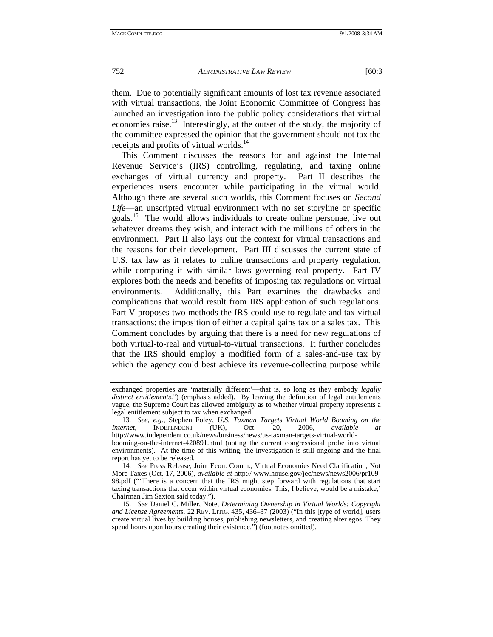them. Due to potentially significant amounts of lost tax revenue associated with virtual transactions, the Joint Economic Committee of Congress has launched an investigation into the public policy considerations that virtual economies raise.13 Interestingly, at the outset of the study, the majority of the committee expressed the opinion that the government should not tax the receipts and profits of virtual worlds.<sup>14</sup>

This Comment discusses the reasons for and against the Internal Revenue Service's (IRS) controlling, regulating, and taxing online exchanges of virtual currency and property. Part II describes the experiences users encounter while participating in the virtual world. Although there are several such worlds, this Comment focuses on *Second Life*—an unscripted virtual environment with no set storyline or specific goals.15 The world allows individuals to create online personae, live out whatever dreams they wish, and interact with the millions of others in the environment. Part II also lays out the context for virtual transactions and the reasons for their development. Part III discusses the current state of U.S. tax law as it relates to online transactions and property regulation, while comparing it with similar laws governing real property. Part IV explores both the needs and benefits of imposing tax regulations on virtual environments. Additionally, this Part examines the drawbacks and complications that would result from IRS application of such regulations. Part V proposes two methods the IRS could use to regulate and tax virtual transactions: the imposition of either a capital gains tax or a sales tax. This Comment concludes by arguing that there is a need for new regulations of both virtual-to-real and virtual-to-virtual transactions. It further concludes that the IRS should employ a modified form of a sales-and-use tax by which the agency could best achieve its revenue-collecting purpose while

exchanged properties are 'materially different'—that is, so long as they embody *legally distinct entitlements*.") (emphasis added). By leaving the definition of legal entitlements vague, the Supreme Court has allowed ambiguity as to whether virtual property represents a legal entitlement subject to tax when exchanged.

<sup>13</sup>*. See, e.g.*, Stephen Foley, *U.S. Taxman Targets Virtual World Booming on the Internet*, INDEPENDENT (UK), Oct. 20, 2006, *available at* http://www.independent.co.uk/news/business/news/us-taxman-targets-virtual-worldbooming-on-the-internet-420891.html (noting the current congressional probe into virtual environments). At the time of this writing, the investigation is still ongoing and the final report has yet to be released.

<sup>14</sup>*. See* Press Release, Joint Econ. Comm., Virtual Economies Need Clarification, Not More Taxes (Oct. 17, 2006), *available at* http:// www.house.gov/jec/news/news2006/pr109- 98.pdf ("'There is a concern that the IRS might step forward with regulations that start taxing transactions that occur within virtual economies. This, I believe, would be a mistake,' Chairman Jim Saxton said today.").

<sup>15</sup>*. See* Daniel C. Miller, Note, *Determining Ownership in Virtual Worlds: Copyright and License Agreements*, 22 REV. LITIG. 435, 436–37 (2003) ("In this [type of world], users create virtual lives by building houses, publishing newsletters, and creating alter egos. They spend hours upon hours creating their existence.") (footnotes omitted).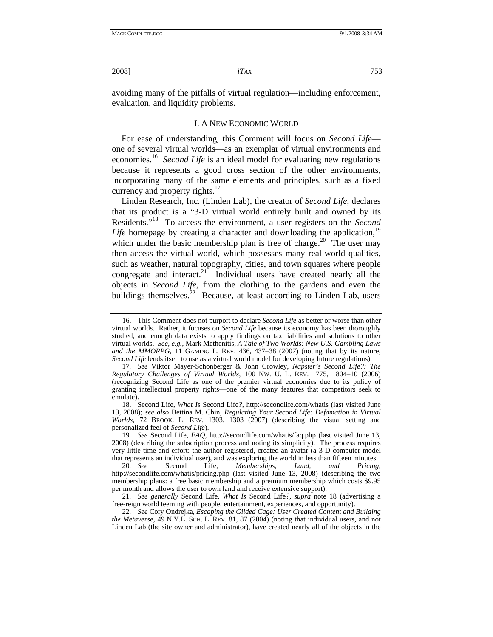avoiding many of the pitfalls of virtual regulation—including enforcement, evaluation, and liquidity problems.

# I. A NEW ECONOMIC WORLD

For ease of understanding, this Comment will focus on *Second Life* one of several virtual worlds—as an exemplar of virtual environments and economies.16 *Second Life* is an ideal model for evaluating new regulations because it represents a good cross section of the other environments, incorporating many of the same elements and principles, such as a fixed currency and property rights.<sup>17</sup>

Linden Research, Inc. (Linden Lab), the creator of *Second Life*, declares that its product is a "3-D virtual world entirely built and owned by its Residents."18 To access the environment, a user registers on the *Second Life* homepage by creating a character and downloading the application,  $19$ which under the basic membership plan is free of charge.<sup>20</sup> The user may then access the virtual world, which possesses many real-world qualities, such as weather, natural topography, cities, and town squares where people congregate and interact.<sup>21</sup> Individual users have created nearly all the objects in *Second Life*, from the clothing to the gardens and even the buildings themselves.<sup>22</sup> Because, at least according to Linden Lab, users

20*. See* Second Life, *Memberships, Land, and Pricing*, http://secondlife.com/whatis/pricing.php (last visited June 13, 2008) (describing the two membership plans: a free basic membership and a premium membership which costs \$9.95 per month and allows the user to own land and receive extensive support).

21*. See generally* Second Life, *What Is* Second Life*?*, *supra* note 18 (advertising a free-reign world teeming with people, entertainment, experiences, and opportunity).

22*. See* Cory Ondrejka, *Escaping the Gilded Cage: User Created Content and Building the Metaverse*, 49 N.Y.L. SCH. L. REV. 81, 87 (2004) (noting that individual users, and not Linden Lab (the site owner and administrator), have created nearly all of the objects in the

 <sup>16.</sup> This Comment does not purport to declare *Second Life* as better or worse than other virtual worlds. Rather, it focuses on *Second Life* because its economy has been thoroughly studied, and enough data exists to apply findings on tax liabilities and solutions to other virtual worlds. *See, e.g.*, Mark Methenitis, *A Tale of Two Worlds: New U.S. Gambling Laws and the MMORPG*, 11 GAMING L. REV. 436, 437–38 (2007) (noting that by its nature, *Second Life* lends itself to use as a virtual world model for developing future regulations).

<sup>17</sup>*. See* Viktor Mayer-Schonberger & John Crowley, *Napster's Second Life?: The Regulatory Challenges of Virtual Worlds*, 100 NW. U. L. REV. 1775, 1804–10 (2006) (recognizing Second Life as one of the premier virtual economies due to its policy of granting intellectual property rights—one of the many features that competitors seek to emulate).

 <sup>18.</sup> Second Life, *What Is* Second Life*?*, http://secondlife.com/whatis (last visited June 13, 2008); *see also* Bettina M. Chin, *Regulating Your Second Life: Defamation in Virtual Worlds*, 72 BROOK. L. REV. 1303, 1303 (2007) (describing the visual setting and personalized feel of *Second Life*).

<sup>19</sup>*. See* Second Life, *FAQ*, http://secondlife.com/whatis/faq.php (last visited June 13, 2008) (describing the subscription process and noting its simplicity). The process requires very little time and effort: the author registered, created an avatar (a 3-D computer model that represents an individual user), and was exploring the world in less than fifteen minutes.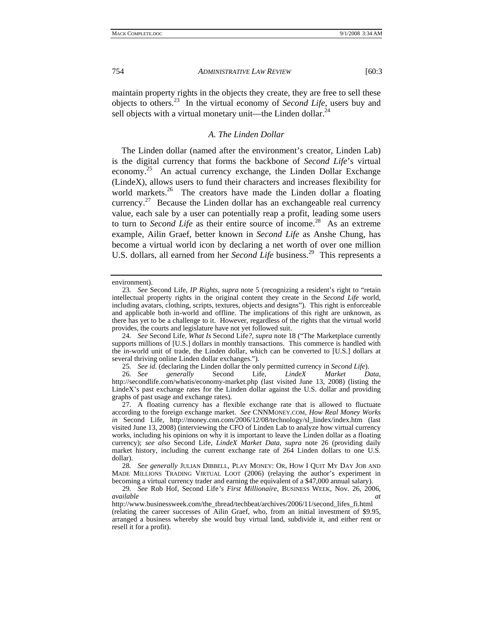maintain property rights in the objects they create, they are free to sell these objects to others.23 In the virtual economy of *Second Life*, users buy and sell objects with a virtual monetary unit—the Linden dollar.<sup>24</sup>

# *A. The Linden Dollar*

The Linden dollar (named after the environment's creator, Linden Lab) is the digital currency that forms the backbone of *Second Life*'s virtual economy.<sup>25</sup> An actual currency exchange, the Linden Dollar Exchange (LindeX), allows users to fund their characters and increases flexibility for world markets.<sup>26</sup> The creators have made the Linden dollar a floating currency.<sup>27</sup> Because the Linden dollar has an exchangeable real currency value, each sale by a user can potentially reap a profit, leading some users to turn to *Second Life* as their entire source of income.<sup>28</sup> As an extreme example, Ailin Graef, better known in *Second Life* as Anshe Chung, has become a virtual world icon by declaring a net worth of over one million U.S. dollars, all earned from her *Second Life* business.<sup>29</sup> This represents a

environment).

<sup>23</sup>*. See* Second Life, *IP Rights*, *supra* note 5 (recognizing a resident's right to "retain intellectual property rights in the original content they create in the *Second Life* world, including avatars, clothing, scripts, textures, objects and designs"). This right is enforceable and applicable both in-world and offline. The implications of this right are unknown, as there has yet to be a challenge to it. However, regardless of the rights that the virtual world provides, the courts and legislature have not yet followed suit.

<sup>24</sup>*. See* Second Life, *What Is* Second Life*?*, *supra* note 18 ("The Marketplace currently supports millions of [U.S.] dollars in monthly transactions. This commerce is handled with the in-world unit of trade, the Linden dollar, which can be converted to [U.S.] dollars at several thriving online Linden dollar exchanges.").

<sup>25</sup>*. See id.* (declaring the Linden dollar the only permitted currency in *Second Life*).

<sup>26</sup>*. See generally* Second Life, *LindeX Market Data*, http://secondlife.com/whatis/economy-market.php (last visited June 13, 2008) (listing the LindeX's past exchange rates for the Linden dollar against the U.S. dollar and providing graphs of past usage and exchange rates).

 <sup>27.</sup> A floating currency has a flexible exchange rate that is allowed to fluctuate according to the foreign exchange market. *See* CNNMONEY.COM, *How Real Money Works in* Second Life, http://money.cnn.com/2006/12/08/technology/sl\_lindex/index.htm (last visited June 13, 2008) (interviewing the CFO of Linden Lab to analyze how virtual currency works, including his opinions on why it is important to leave the Linden dollar as a floating currency); *see also* Second Life, *LindeX Market Data*, *supra* note 26 (providing daily market history, including the current exchange rate of 264 Linden dollars to one U.S. dollar).

<sup>28</sup>*. See generally* JULIAN DIBBELL, PLAY MONEY: OR, HOW I QUIT MY DAY JOB AND MADE MILLIONS TRADING VIRTUAL LOOT (2006) (relaying the author's experiment in becoming a virtual currency trader and earning the equivalent of a \$47,000 annual salary).

<sup>29</sup>*. See* Rob Hof, Second Life*'s First Millionaire*, BUSINESS WEEK, Nov. 26, 2006, *available at*

http://www.businessweek.com/the\_thread/techbeat/archives/2006/11/second\_lifes\_fi.html (relating the career successes of Ailin Graef, who, from an initial investment of \$9.95, arranged a business whereby she would buy virtual land, subdivide it, and either rent or resell it for a profit).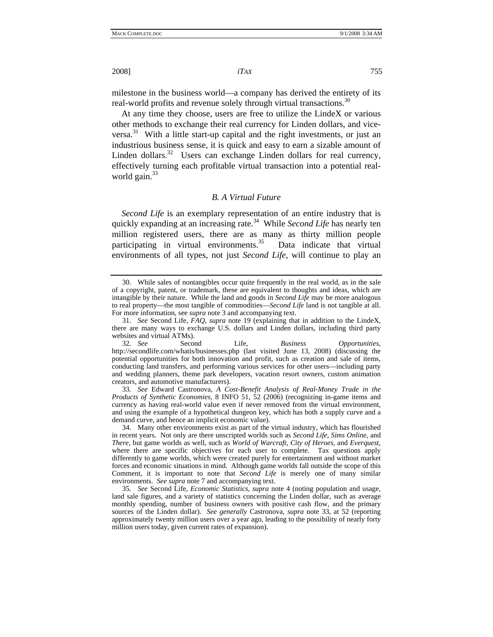milestone in the business world—a company has derived the entirety of its real-world profits and revenue solely through virtual transactions.<sup>30</sup>

At any time they choose, users are free to utilize the LindeX or various other methods to exchange their real currency for Linden dollars, and vice $versa.<sup>31</sup>$  With a little start-up capital and the right investments, or just an industrious business sense, it is quick and easy to earn a sizable amount of Linden dollars.<sup>32</sup> Users can exchange Linden dollars for real currency, effectively turning each profitable virtual transaction into a potential realworld gain. $33$ 

#### *B. A Virtual Future*

*Second Life* is an exemplary representation of an entire industry that is quickly expanding at an increasing rate.<sup>34</sup> While *Second Life* has nearly ten million registered users, there are as many as thirty million people participating in virtual environments. $35$  Data indicate that virtual environments of all types, not just *Second Life*, will continue to play an

 <sup>30.</sup> While sales of nontangibles occur quite frequently in the real world, as in the sale of a copyright, patent, or trademark, these are equivalent to thoughts and ideas, which are intangible by their nature. While the land and goods in *Second Life* may be more analogous to real property—the most tangible of commodities—*Second Life* land is not tangible at all. For more information, see *supra* note 3 and accompanying text.

<sup>31</sup>*. See* Second Life, *FAQ*, *supra* note 19 (explaining that in addition to the LindeX, there are many ways to exchange U.S. dollars and Linden dollars, including third party websites and virtual ATMs).

<sup>32</sup>*. See* Second Life, *Business Opportunities*, http://secondlife.com/whatis/businesses.php (last visited June 13, 2008) (discussing the potential opportunities for both innovation and profit, such as creation and sale of items, conducting land transfers, and performing various services for other users—including party and wedding planners, theme park developers, vacation resort owners, custom animation creators, and automotive manufacturers).

<sup>33</sup>*. See* Edward Castronova, *A Cost-Benefit Analysis of Real-Money Trade in the Products of Synthetic Economies*, 8 INFO 51, 52 (2006) (recognizing in-game items and currency as having real-world value even if never removed from the virtual environment, and using the example of a hypothetical dungeon key, which has both a supply curve and a demand curve, and hence an implicit economic value).

 <sup>34.</sup> Many other environments exist as part of the virtual industry, which has flourished in recent years. Not only are there unscripted worlds such as *Second Life*, *Sims Online*, and *There*, but game worlds as well, such as *World of Warcraft*, *City of Heroes*, and *Everquest*, where there are specific objectives for each user to complete. Tax questions apply differently to game worlds, which were created purely for entertainment and without market forces and economic situations in mind. Although game worlds fall outside the scope of this Comment, it is important to note that *Second Life* is merely one of many similar environments. *See supra* note 7 and accompanying text.

<sup>35</sup>*. See* Second Life, *Economic Statistics*, *supra* note 4 (noting population and usage, land sale figures, and a variety of statistics concerning the Linden dollar, such as average monthly spending, number of business owners with positive cash flow, and the primary sources of the Linden dollar). *See generally* Castronova, *supra* note 33, at 52 (reporting approximately twenty million users over a year ago, leading to the possibility of nearly forty million users today, given current rates of expansion).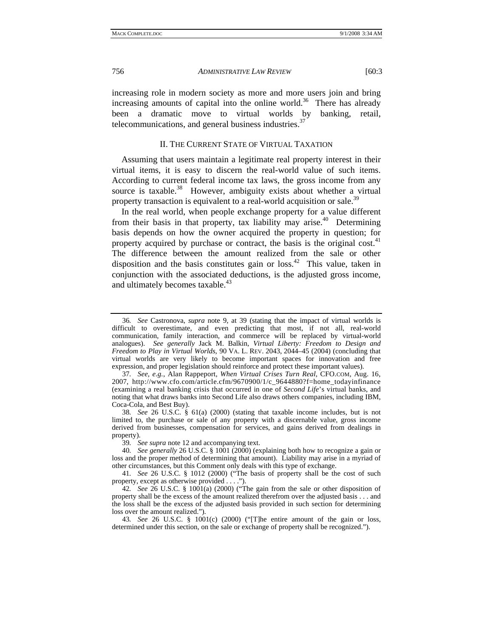increasing role in modern society as more and more users join and bring increasing amounts of capital into the online world.<sup>36</sup> There has already been a dramatic move to virtual worlds by banking, retail, telecommunications, and general business industries. $37$ 

# II. THE CURRENT STATE OF VIRTUAL TAXATION

Assuming that users maintain a legitimate real property interest in their virtual items, it is easy to discern the real-world value of such items. According to current federal income tax laws, the gross income from any source is taxable.<sup>38</sup> However, ambiguity exists about whether a virtual property transaction is equivalent to a real-world acquisition or sale.<sup>39</sup>

In the real world, when people exchange property for a value different from their basis in that property, tax liability may arise.<sup>40</sup> Determining basis depends on how the owner acquired the property in question; for property acquired by purchase or contract, the basis is the original cost.<sup>41</sup> The difference between the amount realized from the sale or other disposition and the basis constitutes gain or loss.<sup>42</sup> This value, taken in conjunction with the associated deductions, is the adjusted gross income, and ultimately becomes taxable. $43$ 

<sup>36</sup>*. See* Castronova, *supra* note 9, at 39 (stating that the impact of virtual worlds is difficult to overestimate, and even predicting that most, if not all, real-world communication, family interaction, and commerce will be replaced by virtual-world analogues). *See generally* Jack M. Balkin, *Virtual Liberty: Freedom to Design and Freedom to Play in Virtual Worlds*, 90 VA. L. REV. 2043, 2044–45 (2004) (concluding that virtual worlds are very likely to become important spaces for innovation and free expression, and proper legislation should reinforce and protect these important values).

<sup>37</sup>*. See, e.g.*, Alan Rappeport, *When Virtual Crises Turn Real*, CFO.COM*,* Aug. 16, 2007, http://www.cfo.com/article.cfm/9670900/1/c\_9644880?f=home\_todayinfinance (examining a real banking crisis that occurred in one of *Second Life*'s virtual banks, and noting that what draws banks into Second Life also draws others companies, including IBM, Coca-Cola, and Best Buy).

<sup>38</sup>*. See* 26 U.S.C. § 61(a) (2000) (stating that taxable income includes, but is not limited to, the purchase or sale of any property with a discernable value, gross income derived from businesses, compensation for services, and gains derived from dealings in property).

<sup>39</sup>*. See supra* note 12 and accompanying text.

<sup>40</sup>*. See generally* 26 U.S.C. § 1001 (2000) (explaining both how to recognize a gain or loss and the proper method of determining that amount). Liability may arise in a myriad of other circumstances, but this Comment only deals with this type of exchange.

<sup>41</sup>*. See* 26 U.S.C. § 1012 (2000) ("The basis of property shall be the cost of such property, except as otherwise provided . . . .").

<sup>42</sup>*. See* 26 U.S.C. § 1001(a) (2000) ("The gain from the sale or other disposition of property shall be the excess of the amount realized therefrom over the adjusted basis . . . and the loss shall be the excess of the adjusted basis provided in such section for determining loss over the amount realized.").

<sup>43</sup>*. See* 26 U.S.C. § 1001(c) (2000) ("[T]he entire amount of the gain or loss, determined under this section, on the sale or exchange of property shall be recognized.").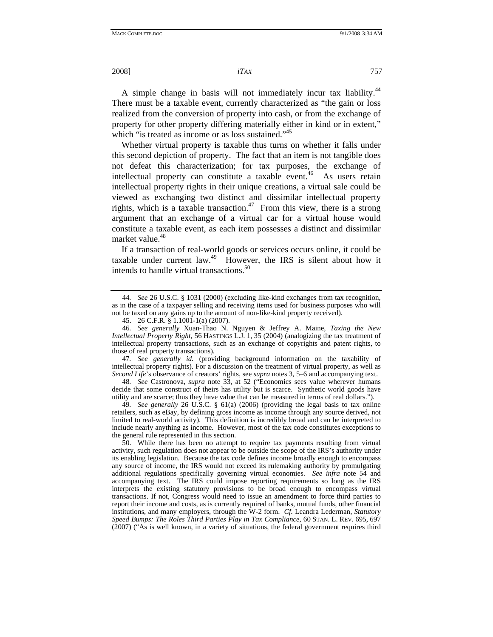A simple change in basis will not immediately incur tax liability.<sup>44</sup> There must be a taxable event, currently characterized as "the gain or loss realized from the conversion of property into cash, or from the exchange of property for other property differing materially either in kind or in extent," which "is treated as income or as loss sustained."<sup>45</sup>

Whether virtual property is taxable thus turns on whether it falls under this second depiction of property. The fact that an item is not tangible does not defeat this characterization; for tax purposes, the exchange of intellectual property can constitute a taxable event.<sup>46</sup> As users retain intellectual property rights in their unique creations, a virtual sale could be viewed as exchanging two distinct and dissimilar intellectual property rights, which is a taxable transaction.<sup>47</sup> From this view, there is a strong argument that an exchange of a virtual car for a virtual house would constitute a taxable event, as each item possesses a distinct and dissimilar market value.<sup>48</sup>

If a transaction of real-world goods or services occurs online, it could be taxable under current law.<sup>49</sup> However, the IRS is silent about how it intends to handle virtual transactions.<sup>50</sup>

47*. See generally id.* (providing background information on the taxability of intellectual property rights). For a discussion on the treatment of virtual property, as well as *Second Life*'s observance of creators' rights, see *supra* notes 3, 5–6 and accompanying text.

48*. See* Castronova, *supra* note 33, at 52 ("Economics sees value wherever humans decide that some construct of theirs has utility but is scarce. Synthetic world goods have utility and are scarce; thus they have value that can be measured in terms of real dollars.").

49*. See generally* 26 U.S.C. § 61(a) (2006) (providing the legal basis to tax online retailers, such as eBay, by defining gross income as income through any source derived, not limited to real-world activity). This definition is incredibly broad and can be interpreted to include nearly anything as income. However, most of the tax code constitutes exceptions to the general rule represented in this section.

 50. While there has been no attempt to require tax payments resulting from virtual activity, such regulation does not appear to be outside the scope of the IRS's authority under its enabling legislation. Because the tax code defines income broadly enough to encompass any source of income, the IRS would not exceed its rulemaking authority by promulgating additional regulations specifically governing virtual economies. *See infra* note 54 and accompanying text. The IRS could impose reporting requirements so long as the IRS interprets the existing statutory provisions to be broad enough to encompass virtual transactions. If not, Congress would need to issue an amendment to force third parties to report their income and costs, as is currently required of banks, mutual funds, other financial institutions, and many employers, through the W-2 form. *Cf.* Leandra Lederman, *Statutory Speed Bumps: The Roles Third Parties Play in Tax Compliance*, 60 STAN. L. REV. 695, 697 (2007) ("As is well known, in a variety of situations, the federal government requires third

<sup>44</sup>*. See* 26 U.S.C. § 1031 (2000) (excluding like-kind exchanges from tax recognition, as in the case of a taxpayer selling and receiving items used for business purposes who will not be taxed on any gains up to the amount of non-like-kind property received).

 <sup>45. 26</sup> C.F.R. § 1.1001-1(a) (2007).

<sup>46</sup>*. See generally* Xuan-Thao N. Nguyen & Jeffrey A. Maine, *Taxing the New Intellectual Property Right*, 56 HASTINGS L.J. 1, 35 (2004) (analogizing the tax treatment of intellectual property transactions, such as an exchange of copyrights and patent rights, to those of real property transactions).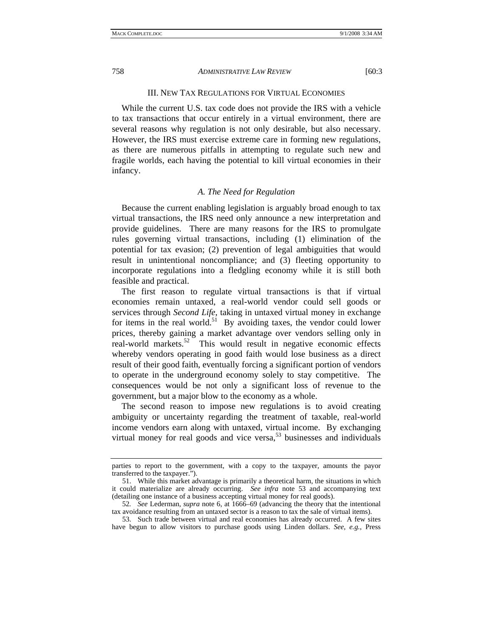## III. NEW TAX REGULATIONS FOR VIRTUAL ECONOMIES

While the current U.S. tax code does not provide the IRS with a vehicle to tax transactions that occur entirely in a virtual environment, there are several reasons why regulation is not only desirable, but also necessary. However, the IRS must exercise extreme care in forming new regulations, as there are numerous pitfalls in attempting to regulate such new and fragile worlds, each having the potential to kill virtual economies in their infancy.

# *A. The Need for Regulation*

Because the current enabling legislation is arguably broad enough to tax virtual transactions, the IRS need only announce a new interpretation and provide guidelines. There are many reasons for the IRS to promulgate rules governing virtual transactions, including (1) elimination of the potential for tax evasion; (2) prevention of legal ambiguities that would result in unintentional noncompliance; and (3) fleeting opportunity to incorporate regulations into a fledgling economy while it is still both feasible and practical.

The first reason to regulate virtual transactions is that if virtual economies remain untaxed, a real-world vendor could sell goods or services through *Second Life*, taking in untaxed virtual money in exchange for items in the real world.<sup>51</sup> By avoiding taxes, the vendor could lower prices, thereby gaining a market advantage over vendors selling only in real-world markets.<sup>52</sup> This would result in negative economic effects whereby vendors operating in good faith would lose business as a direct result of their good faith, eventually forcing a significant portion of vendors to operate in the underground economy solely to stay competitive. The consequences would be not only a significant loss of revenue to the government, but a major blow to the economy as a whole.

The second reason to impose new regulations is to avoid creating ambiguity or uncertainty regarding the treatment of taxable, real-world income vendors earn along with untaxed, virtual income. By exchanging virtual money for real goods and vice versa,  $53$  businesses and individuals

parties to report to the government, with a copy to the taxpayer, amounts the payor transferred to the taxpayer.").

 <sup>51.</sup> While this market advantage is primarily a theoretical harm, the situations in which it could materialize are already occurring. *See infra* note 53 and accompanying text (detailing one instance of a business accepting virtual money for real goods).

<sup>52</sup>*. See* Lederman, *supra* note 6, at 1666–69 (advancing the theory that the intentional tax avoidance resulting from an untaxed sector is a reason to tax the sale of virtual items).

 <sup>53.</sup> Such trade between virtual and real economies has already occurred. A few sites have begun to allow visitors to purchase goods using Linden dollars. *See, e.g.*, Press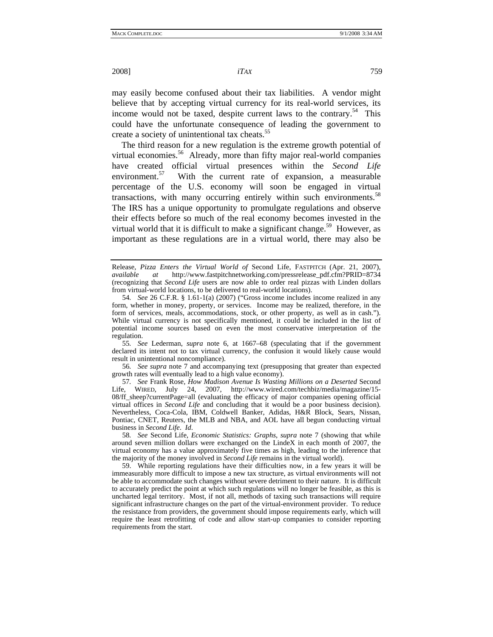may easily become confused about their tax liabilities. A vendor might believe that by accepting virtual currency for its real-world services, its income would not be taxed, despite current laws to the contrary.<sup>54</sup> This could have the unfortunate consequence of leading the government to create a society of unintentional tax cheats.<sup>55</sup>

The third reason for a new regulation is the extreme growth potential of virtual economies.<sup>56</sup> Already, more than fifty major real-world companies have created official virtual presences within the *Second Life* environment. $57$  With the current rate of expansion, a measurable percentage of the U.S. economy will soon be engaged in virtual transactions, with many occurring entirely within such environments.<sup>58</sup> The IRS has a unique opportunity to promulgate regulations and observe their effects before so much of the real economy becomes invested in the virtual world that it is difficult to make a significant change.<sup>59</sup> However, as important as these regulations are in a virtual world, there may also be

55*. See* Lederman, *supra* note 6, at 1667–68 (speculating that if the government declared its intent not to tax virtual currency, the confusion it would likely cause would result in unintentional noncompliance).

56*. See supra* note 7 and accompanying text (presupposing that greater than expected growth rates will eventually lead to a high value economy).

57*. See* Frank Rose, *How Madison Avenue Is Wasting Millions on a Deserted* Second Life, WIRED, July 24, 2007, http://www.wired.com/techbiz/media/magazine/15- 08/ff\_sheep?currentPage=all (evaluating the efficacy of major companies opening official virtual offices in *Second Life* and concluding that it would be a poor business decision). Nevertheless, Coca-Cola, IBM, Coldwell Banker, Adidas, H&R Block, Sears, Nissan, Pontiac, CNET, Reuters, the MLB and NBA, and AOL have all begun conducting virtual business in *Second Life*. *Id*.

58*. See* Second Life, *Economic Statistics: Graphs*, *supra* note 7 (showing that while around seven million dollars were exchanged on the LindeX in each month of 2007, the virtual economy has a value approximately five times as high, leading to the inference that the majority of the money involved in *Second Life* remains in the virtual world).

 59. While reporting regulations have their difficulties now, in a few years it will be immeasurably more difficult to impose a new tax structure, as virtual environments will not be able to accommodate such changes without severe detriment to their nature. It is difficult to accurately predict the point at which such regulations will no longer be feasible, as this is uncharted legal territory. Most, if not all, methods of taxing such transactions will require significant infrastructure changes on the part of the virtual-environment provider. To reduce the resistance from providers, the government should impose requirements early, which will require the least retrofitting of code and allow start-up companies to consider reporting requirements from the start.

Release, *Pizza Enters the Virtual World of* Second Life, FASTPITCH (Apr. 21, 2007), *available at* http://www.fastpitchnetworking.com/pressrelease\_pdf.cfm?PRID=8734 (recognizing that *Second Life* users are now able to order real pizzas with Linden dollars from virtual-world locations, to be delivered to real-world locations).

<sup>54</sup>*. See* 26 C.F.R. § 1.61-1(a) (2007) ("Gross income includes income realized in any form, whether in money, property, or services. Income may be realized, therefore, in the form of services, meals, accommodations, stock, or other property, as well as in cash."). While virtual currency is not specifically mentioned, it could be included in the list of potential income sources based on even the most conservative interpretation of the regulation.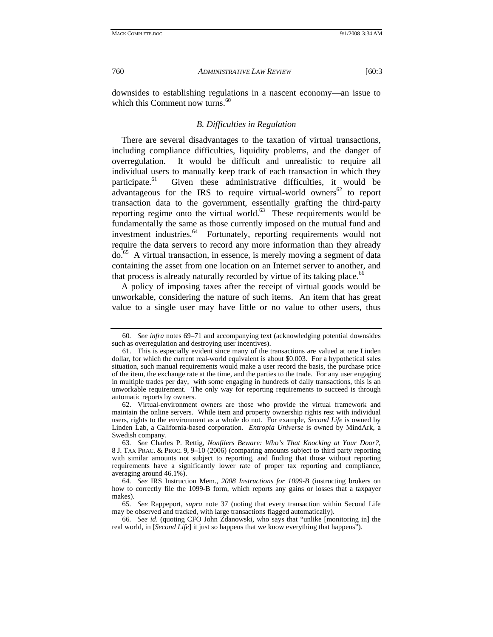downsides to establishing regulations in a nascent economy—an issue to which this Comment now turns.<sup>60</sup>

#### *B. Difficulties in Regulation*

There are several disadvantages to the taxation of virtual transactions, including compliance difficulties, liquidity problems, and the danger of overregulation. It would be difficult and unrealistic to require all individual users to manually keep track of each transaction in which they participate.<sup>61</sup> Given these administrative difficulties, it would be advantageous for the IRS to require virtual-world owners $62$  to report transaction data to the government, essentially grafting the third-party reporting regime onto the virtual world.<sup>63</sup> These requirements would be fundamentally the same as those currently imposed on the mutual fund and investment industries.<sup>64</sup> Fortunately, reporting requirements would not require the data servers to record any more information than they already do.65 A virtual transaction, in essence, is merely moving a segment of data containing the asset from one location on an Internet server to another, and that process is already naturally recorded by virtue of its taking place.<sup>66</sup>

A policy of imposing taxes after the receipt of virtual goods would be unworkable, considering the nature of such items. An item that has great value to a single user may have little or no value to other users, thus

<sup>60</sup>*. See infra* notes 69–71 and accompanying text (acknowledging potential downsides such as overregulation and destroying user incentives).

 <sup>61.</sup> This is especially evident since many of the transactions are valued at one Linden dollar, for which the current real-world equivalent is about \$0.003. For a hypothetical sales situation, such manual requirements would make a user record the basis, the purchase price of the item, the exchange rate at the time, and the parties to the trade. For any user engaging in multiple trades per day, with some engaging in hundreds of daily transactions, this is an unworkable requirement. The only way for reporting requirements to succeed is through automatic reports by owners.

 <sup>62.</sup> Virtual-environment owners are those who provide the virtual framework and maintain the online servers. While item and property ownership rights rest with individual users, rights to the environment as a whole do not. For example, *Second Life* is owned by Linden Lab, a California-based corporation. *Entropia Universe* is owned by MindArk, a Swedish company.

<sup>63</sup>*. See* Charles P. Rettig, *Nonfilers Beware: Who's That Knocking at Your Door?*, 8 J. TAX PRAC. & PROC. 9, 9–10 (2006) (comparing amounts subject to third party reporting with similar amounts not subject to reporting, and finding that those without reporting requirements have a significantly lower rate of proper tax reporting and compliance, averaging around 46.1%).

<sup>64</sup>*. See* IRS Instruction Mem., *2008 Instructions for 1099-B* (instructing brokers on how to correctly file the 1099-B form, which reports any gains or losses that a taxpayer makes).

<sup>65</sup>*. See* Rappeport, *supra* note 37 (noting that every transaction within Second Life may be observed and tracked, with large transactions flagged automatically).

<sup>66</sup>*. See id*. (quoting CFO John Zdanowski, who says that "unlike [monitoring in] the real world, in [*Second Life*] it just so happens that we know everything that happens").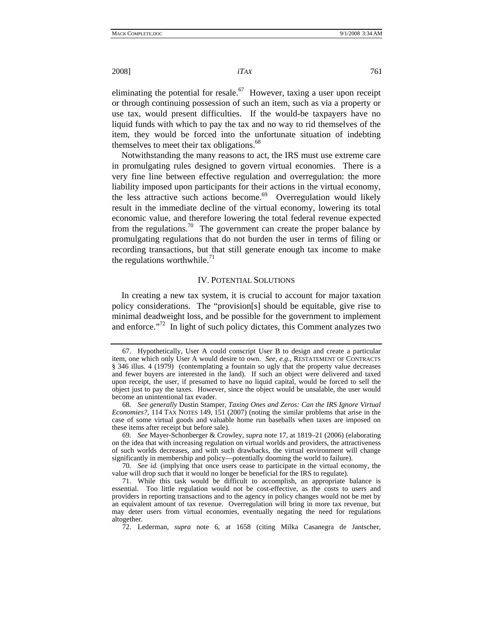eliminating the potential for resale.<sup>67</sup> However, taxing a user upon receipt or through continuing possession of such an item, such as via a property or use tax, would present difficulties. If the would-be taxpayers have no liquid funds with which to pay the tax and no way to rid themselves of the item, they would be forced into the unfortunate situation of indebting themselves to meet their tax obligations.<sup>68</sup>

Notwithstanding the many reasons to act, the IRS must use extreme care in promulgating rules designed to govern virtual economies. There is a very fine line between effective regulation and overregulation: the more liability imposed upon participants for their actions in the virtual economy, the less attractive such actions become.<sup>69</sup> Overregulation would likely result in the immediate decline of the virtual economy, lowering its total economic value, and therefore lowering the total federal revenue expected from the regulations.<sup>70</sup> The government can create the proper balance by promulgating regulations that do not burden the user in terms of filing or recording transactions, but that still generate enough tax income to make the regulations worthwhile.<sup>71</sup>

## IV. POTENTIAL SOLUTIONS

In creating a new tax system, it is crucial to account for major taxation policy considerations. The "provision[s] should be equitable, give rise to minimal deadweight loss, and be possible for the government to implement and enforce. $172$  In light of such policy dictates, this Comment analyzes two

 <sup>67.</sup> Hypothetically, User A could conscript User B to design and create a particular item, one which only User A would desire to own. *See, e.g.*, RESTATEMENT OF CONTRACTS § 346 illus. 4 (1979) (contemplating a fountain so ugly that the property value decreases and fewer buyers are interested in the land). If such an object were delivered and taxed upon receipt, the user, if presumed to have no liquid capital, would be forced to sell the object just to pay the taxes. However, since the object would be unsalable, the user would become an unintentional tax evader.

<sup>68</sup>*. See generally* Dustin Stamper, *Taxing Ones and Zeros: Can the IRS Ignore Virtual Economies?*, 114 TAX NOTES 149, 151 (2007) (noting the similar problems that arise in the case of some virtual goods and valuable home run baseballs when taxes are imposed on these items after receipt but before sale).

<sup>69</sup>*. See* Mayer-Schonberger & Crowley, *supra* note 17, at 1819–21 (2006) (elaborating on the idea that with increasing regulation on virtual worlds and providers, the attractiveness of such worlds decreases, and with such drawbacks, the virtual environment will change significantly in membership and policy—potentially dooming the world to failure).

<sup>70</sup>*. See id.* (implying that once users cease to participate in the virtual economy, the value will drop such that it would no longer be beneficial for the IRS to regulate).

 <sup>71.</sup> While this task would be difficult to accomplish, an appropriate balance is essential. Too little regulation would not be cost-effective, as the costs to users and providers in reporting transactions and to the agency in policy changes would not be met by an equivalent amount of tax revenue. Overregulation will bring in more tax revenue, but may deter users from virtual economies, eventually negating the need for regulations altogether.

 <sup>72.</sup> Lederman, *supra* note 6, at 1658 (citing Milka Casanegra de Jantscher,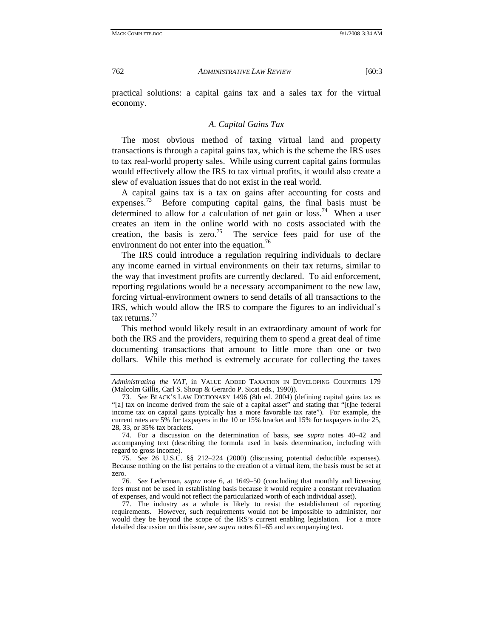practical solutions: a capital gains tax and a sales tax for the virtual economy.

#### *A. Capital Gains Tax*

The most obvious method of taxing virtual land and property transactions is through a capital gains tax, which is the scheme the IRS uses to tax real-world property sales. While using current capital gains formulas would effectively allow the IRS to tax virtual profits, it would also create a slew of evaluation issues that do not exist in the real world.

A capital gains tax is a tax on gains after accounting for costs and expenses.<sup>73</sup> Before computing capital gains, the final basis must be determined to allow for a calculation of net gain or loss.<sup>74</sup> When a user creates an item in the online world with no costs associated with the creation, the basis is zero.<sup>75</sup> The service fees paid for use of the environment do not enter into the equation.<sup>76</sup>

The IRS could introduce a regulation requiring individuals to declare any income earned in virtual environments on their tax returns, similar to the way that investment profits are currently declared. To aid enforcement, reporting regulations would be a necessary accompaniment to the new law, forcing virtual-environment owners to send details of all transactions to the IRS, which would allow the IRS to compare the figures to an individual's tax returns.<sup>77</sup>

This method would likely result in an extraordinary amount of work for both the IRS and the providers, requiring them to spend a great deal of time documenting transactions that amount to little more than one or two dollars. While this method is extremely accurate for collecting the taxes

 74. For a discussion on the determination of basis, see *supra* notes 40–42 and accompanying text (describing the formula used in basis determination, including with regard to gross income).

75*. See* 26 U.S.C. §§ 212–224 (2000) (discussing potential deductible expenses). Because nothing on the list pertains to the creation of a virtual item, the basis must be set at zero.

76*. See* Lederman, *supra* note 6, at 1649–50 (concluding that monthly and licensing fees must not be used in establishing basis because it would require a constant reevaluation of expenses, and would not reflect the particularized worth of each individual asset).

 77. The industry as a whole is likely to resist the establishment of reporting requirements. However, such requirements would not be impossible to administer, nor would they be beyond the scope of the IRS's current enabling legislation. For a more detailed discussion on this issue, see *supra* notes 61–65 and accompanying text.

*Administrating the VAT*, in VALUE ADDED TAXATION IN DEVELOPING COUNTRIES 179 (Malcolm Gillis, Carl S. Shoup & Gerardo P. Sicat eds., 1990)).

<sup>73</sup>*. See* BLACK'S LAW DICTIONARY 1496 (8th ed. 2004) (defining capital gains tax as "[a] tax on income derived from the sale of a capital asset" and stating that "[t]he federal income tax on capital gains typically has a more favorable tax rate"). For example, the current rates are 5% for taxpayers in the 10 or 15% bracket and 15% for taxpayers in the 25, 28, 33, or 35% tax brackets.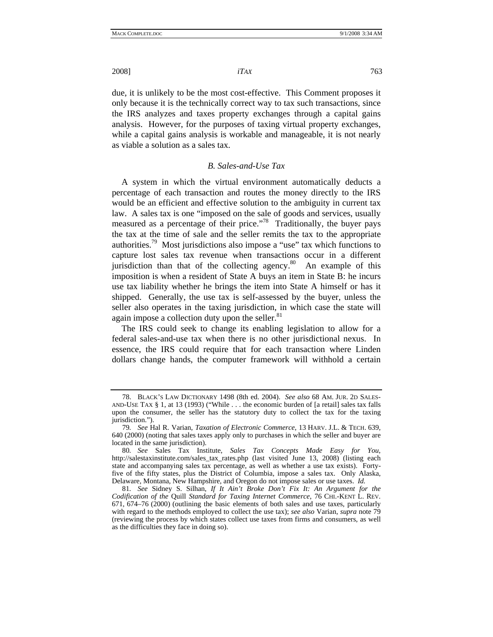due, it is unlikely to be the most cost-effective. This Comment proposes it only because it is the technically correct way to tax such transactions, since the IRS analyzes and taxes property exchanges through a capital gains analysis. However, for the purposes of taxing virtual property exchanges, while a capital gains analysis is workable and manageable, it is not nearly as viable a solution as a sales tax.

# *B. Sales-and-Use Tax*

A system in which the virtual environment automatically deducts a percentage of each transaction and routes the money directly to the IRS would be an efficient and effective solution to the ambiguity in current tax law. A sales tax is one "imposed on the sale of goods and services, usually measured as a percentage of their price."<sup>78</sup> Traditionally, the buyer pays the tax at the time of sale and the seller remits the tax to the appropriate authorities.79 Most jurisdictions also impose a "use" tax which functions to capture lost sales tax revenue when transactions occur in a different jurisdiction than that of the collecting agency. $80$  An example of this imposition is when a resident of State A buys an item in State B: he incurs use tax liability whether he brings the item into State A himself or has it shipped. Generally, the use tax is self-assessed by the buyer, unless the seller also operates in the taxing jurisdiction, in which case the state will again impose a collection duty upon the seller. $81$ 

The IRS could seek to change its enabling legislation to allow for a federal sales-and-use tax when there is no other jurisdictional nexus. In essence, the IRS could require that for each transaction where Linden dollars change hands, the computer framework will withhold a certain

 <sup>78.</sup> BLACK'S LAW DICTIONARY 1498 (8th ed. 2004). *See also* 68 AM. JUR. 2D SALES-AND-USE TAX § 1, at 13 (1993) ("While . . . the economic burden of [a retail] sales tax falls upon the consumer, the seller has the statutory duty to collect the tax for the taxing jurisdiction.").

<sup>79</sup>*. See* Hal R. Varian, *Taxation of Electronic Commerce*, 13 HARV. J.L. & TECH. 639, 640 (2000) (noting that sales taxes apply only to purchases in which the seller and buyer are located in the same jurisdiction).

<sup>80</sup>*. See* Sales Tax Institute, *Sales Tax Concepts Made Easy for You*, http://salestaxinstitute.com/sales\_tax\_rates.php (last visited June 13, 2008) (listing each state and accompanying sales tax percentage, as well as whether a use tax exists). Fortyfive of the fifty states, plus the District of Columbia, impose a sales tax. Only Alaska, Delaware, Montana, New Hampshire, and Oregon do not impose sales or use taxes. *Id.*

<sup>81</sup>*. See* Sidney S. Silhan, *If It Ain't Broke Don't Fix It: An Argument for the Codification of the* Quill *Standard for Taxing Internet Commerce*, 76 CHI.-KENT L. REV. 671, 674–76 (2000) (outlining the basic elements of both sales and use taxes, particularly with regard to the methods employed to collect the use tax); *see also* Varian, *supra* note 79 (reviewing the process by which states collect use taxes from firms and consumers, as well as the difficulties they face in doing so).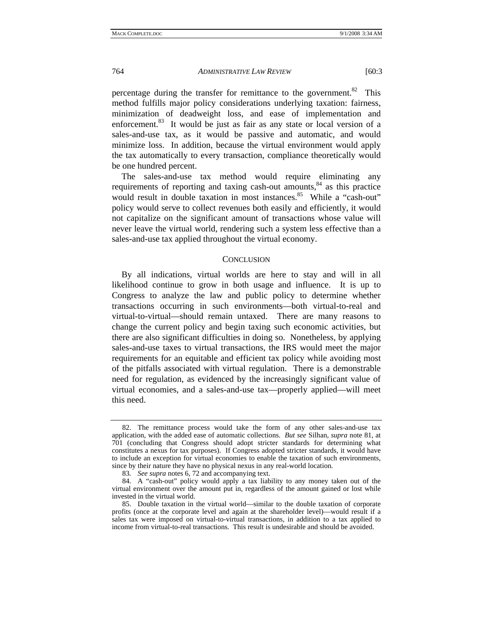percentage during the transfer for remittance to the government.<sup>82</sup> This method fulfills major policy considerations underlying taxation: fairness, minimization of deadweight loss, and ease of implementation and enforcement.<sup>83</sup> It would be just as fair as any state or local version of a sales-and-use tax, as it would be passive and automatic, and would minimize loss. In addition, because the virtual environment would apply the tax automatically to every transaction, compliance theoretically would be one hundred percent.

The sales-and-use tax method would require eliminating any requirements of reporting and taxing cash-out amounts,<sup>84</sup> as this practice would result in double taxation in most instances.<sup>85</sup> While a "cash-out" policy would serve to collect revenues both easily and efficiently, it would not capitalize on the significant amount of transactions whose value will never leave the virtual world, rendering such a system less effective than a sales-and-use tax applied throughout the virtual economy.

#### **CONCLUSION**

By all indications, virtual worlds are here to stay and will in all likelihood continue to grow in both usage and influence. It is up to Congress to analyze the law and public policy to determine whether transactions occurring in such environments—both virtual-to-real and virtual-to-virtual—should remain untaxed. There are many reasons to change the current policy and begin taxing such economic activities, but there are also significant difficulties in doing so. Nonetheless, by applying sales-and-use taxes to virtual transactions, the IRS would meet the major requirements for an equitable and efficient tax policy while avoiding most of the pitfalls associated with virtual regulation. There is a demonstrable need for regulation, as evidenced by the increasingly significant value of virtual economies, and a sales-and-use tax—properly applied—will meet this need.

 <sup>82.</sup> The remittance process would take the form of any other sales-and-use tax application, with the added ease of automatic collections. *But see* Silhan, *supra* note 81, at 701 (concluding that Congress should adopt stricter standards for determining what constitutes a nexus for tax purposes). If Congress adopted stricter standards, it would have to include an exception for virtual economies to enable the taxation of such environments, since by their nature they have no physical nexus in any real-world location.

<sup>83</sup>*. See supra* notes 6, 72 and accompanying text.

 <sup>84.</sup> A "cash-out" policy would apply a tax liability to any money taken out of the virtual environment over the amount put in, regardless of the amount gained or lost while invested in the virtual world.

 <sup>85.</sup> Double taxation in the virtual world—similar to the double taxation of corporate profits (once at the corporate level and again at the shareholder level)—would result if a sales tax were imposed on virtual-to-virtual transactions, in addition to a tax applied to income from virtual-to-real transactions. This result is undesirable and should be avoided.